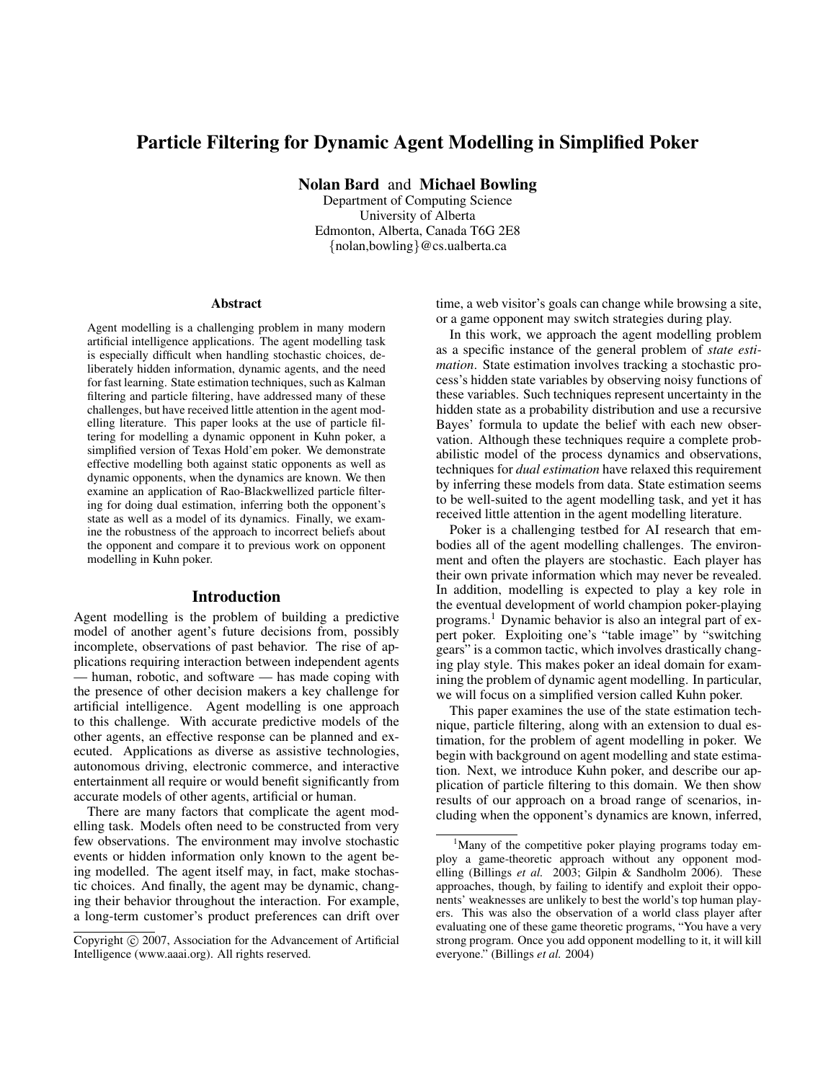# Particle Filtering for Dynamic Agent Modelling in Simplified Poker

Nolan Bard and Michael Bowling

Department of Computing Science University of Alberta Edmonton, Alberta, Canada T6G 2E8 {nolan,bowling}@cs.ualberta.ca

#### Abstract

Agent modelling is a challenging problem in many modern artificial intelligence applications. The agent modelling task is especially difficult when handling stochastic choices, deliberately hidden information, dynamic agents, and the need for fast learning. State estimation techniques, such as Kalman filtering and particle filtering, have addressed many of these challenges, but have received little attention in the agent modelling literature. This paper looks at the use of particle filtering for modelling a dynamic opponent in Kuhn poker, a simplified version of Texas Hold'em poker. We demonstrate effective modelling both against static opponents as well as dynamic opponents, when the dynamics are known. We then examine an application of Rao-Blackwellized particle filtering for doing dual estimation, inferring both the opponent's state as well as a model of its dynamics. Finally, we examine the robustness of the approach to incorrect beliefs about the opponent and compare it to previous work on opponent modelling in Kuhn poker.

#### Introduction

Agent modelling is the problem of building a predictive model of another agent's future decisions from, possibly incomplete, observations of past behavior. The rise of applications requiring interaction between independent agents — human, robotic, and software — has made coping with the presence of other decision makers a key challenge for artificial intelligence. Agent modelling is one approach to this challenge. With accurate predictive models of the other agents, an effective response can be planned and executed. Applications as diverse as assistive technologies, autonomous driving, electronic commerce, and interactive entertainment all require or would benefit significantly from accurate models of other agents, artificial or human.

There are many factors that complicate the agent modelling task. Models often need to be constructed from very few observations. The environment may involve stochastic events or hidden information only known to the agent being modelled. The agent itself may, in fact, make stochastic choices. And finally, the agent may be dynamic, changing their behavior throughout the interaction. For example, a long-term customer's product preferences can drift over

time, a web visitor's goals can change while browsing a site, or a game opponent may switch strategies during play.

In this work, we approach the agent modelling problem as a specific instance of the general problem of *state estimation*. State estimation involves tracking a stochastic process's hidden state variables by observing noisy functions of these variables. Such techniques represent uncertainty in the hidden state as a probability distribution and use a recursive Bayes' formula to update the belief with each new observation. Although these techniques require a complete probabilistic model of the process dynamics and observations, techniques for *dual estimation* have relaxed this requirement by inferring these models from data. State estimation seems to be well-suited to the agent modelling task, and yet it has received little attention in the agent modelling literature.

Poker is a challenging testbed for AI research that embodies all of the agent modelling challenges. The environment and often the players are stochastic. Each player has their own private information which may never be revealed. In addition, modelling is expected to play a key role in the eventual development of world champion poker-playing programs.<sup>1</sup> Dynamic behavior is also an integral part of expert poker. Exploiting one's "table image" by "switching gears" is a common tactic, which involves drastically changing play style. This makes poker an ideal domain for examining the problem of dynamic agent modelling. In particular, we will focus on a simplified version called Kuhn poker.

This paper examines the use of the state estimation technique, particle filtering, along with an extension to dual estimation, for the problem of agent modelling in poker. We begin with background on agent modelling and state estimation. Next, we introduce Kuhn poker, and describe our application of particle filtering to this domain. We then show results of our approach on a broad range of scenarios, including when the opponent's dynamics are known, inferred,

Copyright (c) 2007, Association for the Advancement of Artificial Intelligence (www.aaai.org). All rights reserved.

<sup>&</sup>lt;sup>1</sup>Many of the competitive poker playing programs today employ a game-theoretic approach without any opponent modelling (Billings *et al.* 2003; Gilpin & Sandholm 2006). These approaches, though, by failing to identify and exploit their opponents' weaknesses are unlikely to best the world's top human players. This was also the observation of a world class player after evaluating one of these game theoretic programs, "You have a very strong program. Once you add opponent modelling to it, it will kill everyone." (Billings *et al.* 2004)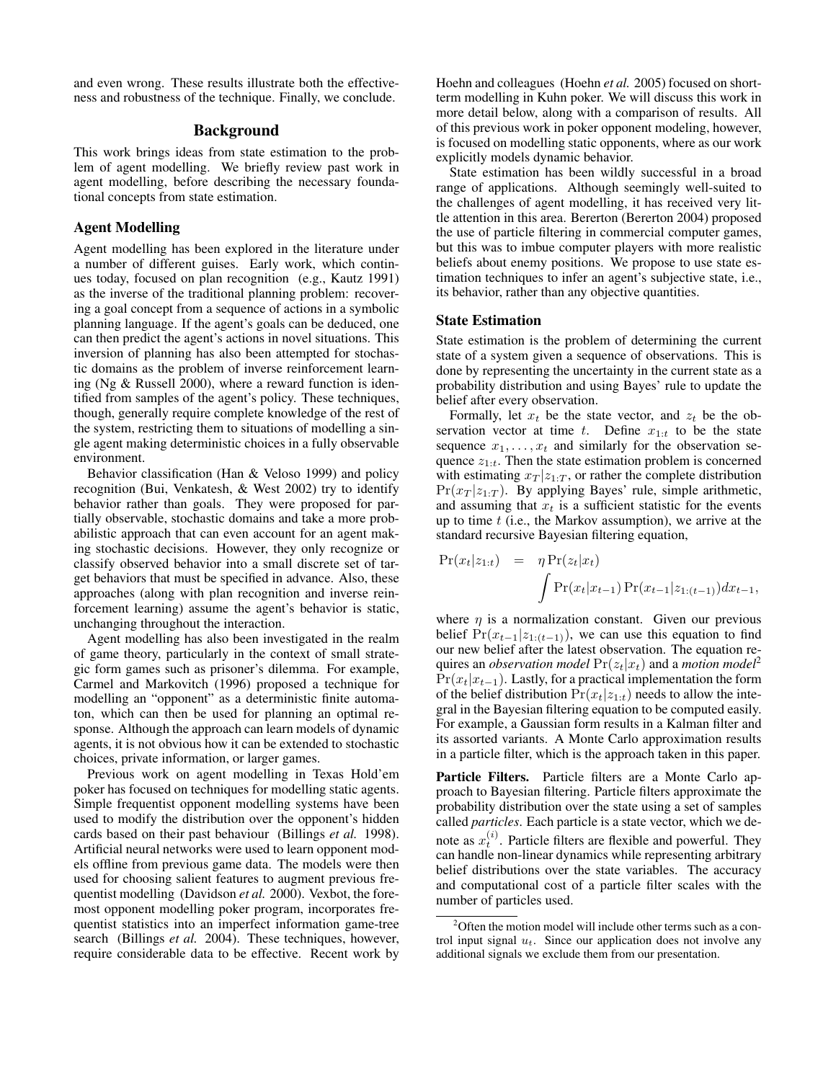and even wrong. These results illustrate both the effectiveness and robustness of the technique. Finally, we conclude.

## Background

This work brings ideas from state estimation to the problem of agent modelling. We briefly review past work in agent modelling, before describing the necessary foundational concepts from state estimation.

## Agent Modelling

Agent modelling has been explored in the literature under a number of different guises. Early work, which continues today, focused on plan recognition (e.g., Kautz 1991) as the inverse of the traditional planning problem: recovering a goal concept from a sequence of actions in a symbolic planning language. If the agent's goals can be deduced, one can then predict the agent's actions in novel situations. This inversion of planning has also been attempted for stochastic domains as the problem of inverse reinforcement learning (Ng & Russell 2000), where a reward function is identified from samples of the agent's policy. These techniques, though, generally require complete knowledge of the rest of the system, restricting them to situations of modelling a single agent making deterministic choices in a fully observable environment.

Behavior classification (Han & Veloso 1999) and policy recognition (Bui, Venkatesh, & West 2002) try to identify behavior rather than goals. They were proposed for partially observable, stochastic domains and take a more probabilistic approach that can even account for an agent making stochastic decisions. However, they only recognize or classify observed behavior into a small discrete set of target behaviors that must be specified in advance. Also, these approaches (along with plan recognition and inverse reinforcement learning) assume the agent's behavior is static, unchanging throughout the interaction.

Agent modelling has also been investigated in the realm of game theory, particularly in the context of small strategic form games such as prisoner's dilemma. For example, Carmel and Markovitch (1996) proposed a technique for modelling an "opponent" as a deterministic finite automaton, which can then be used for planning an optimal response. Although the approach can learn models of dynamic agents, it is not obvious how it can be extended to stochastic choices, private information, or larger games.

Previous work on agent modelling in Texas Hold'em poker has focused on techniques for modelling static agents. Simple frequentist opponent modelling systems have been used to modify the distribution over the opponent's hidden cards based on their past behaviour (Billings *et al.* 1998). Artificial neural networks were used to learn opponent models offline from previous game data. The models were then used for choosing salient features to augment previous frequentist modelling (Davidson *et al.* 2000). Vexbot, the foremost opponent modelling poker program, incorporates frequentist statistics into an imperfect information game-tree search (Billings *et al.* 2004). These techniques, however, require considerable data to be effective. Recent work by Hoehn and colleagues (Hoehn *et al.* 2005) focused on shortterm modelling in Kuhn poker. We will discuss this work in more detail below, along with a comparison of results. All of this previous work in poker opponent modeling, however, is focused on modelling static opponents, where as our work explicitly models dynamic behavior.

State estimation has been wildly successful in a broad range of applications. Although seemingly well-suited to the challenges of agent modelling, it has received very little attention in this area. Bererton (Bererton 2004) proposed the use of particle filtering in commercial computer games, but this was to imbue computer players with more realistic beliefs about enemy positions. We propose to use state estimation techniques to infer an agent's subjective state, i.e., its behavior, rather than any objective quantities.

## State Estimation

State estimation is the problem of determining the current state of a system given a sequence of observations. This is done by representing the uncertainty in the current state as a probability distribution and using Bayes' rule to update the belief after every observation.

Formally, let  $x_t$  be the state vector, and  $z_t$  be the observation vector at time t. Define  $x_{1:t}$  to be the state sequence  $x_1, \ldots, x_t$  and similarly for the observation sequence  $z_{1:t}$ . Then the state estimation problem is concerned with estimating  $x_T | z_{1:T}$ , or rather the complete distribution  $Pr(x_T | z_{1:T})$ . By applying Bayes' rule, simple arithmetic, and assuming that  $x_t$  is a sufficient statistic for the events up to time  $t$  (i.e., the Markov assumption), we arrive at the standard recursive Bayesian filtering equation,

$$
\Pr(x_t|z_{1:t}) = \eta \Pr(z_t|x_t) \n\int \Pr(x_t|x_{t-1}) \Pr(x_{t-1}|z_{1:(t-1)}) dx_{t-1},
$$

where  $\eta$  is a normalization constant. Given our previous belief  $Pr(x_{t-1}|z_{1:(t-1)})$ , we can use this equation to find our new belief after the latest observation. The equation requires an *observation model*  $Pr(z_t|x_t)$  and a *motion model*<sup>2</sup>  $Pr(x_t|x_{t-1})$ . Lastly, for a practical implementation the form of the belief distribution  $Pr(x_t|z_{1:t})$  needs to allow the integral in the Bayesian filtering equation to be computed easily. For example, a Gaussian form results in a Kalman filter and its assorted variants. A Monte Carlo approximation results in a particle filter, which is the approach taken in this paper.

Particle Filters. Particle filters are a Monte Carlo approach to Bayesian filtering. Particle filters approximate the probability distribution over the state using a set of samples called *particles*. Each particle is a state vector, which we denote as  $x_t^{(i)}$ . Particle filters are flexible and powerful. They can handle non-linear dynamics while representing arbitrary belief distributions over the state variables. The accuracy and computational cost of a particle filter scales with the number of particles used.

 $2^2$ Often the motion model will include other terms such as a control input signal  $u_t$ . Since our application does not involve any additional signals we exclude them from our presentation.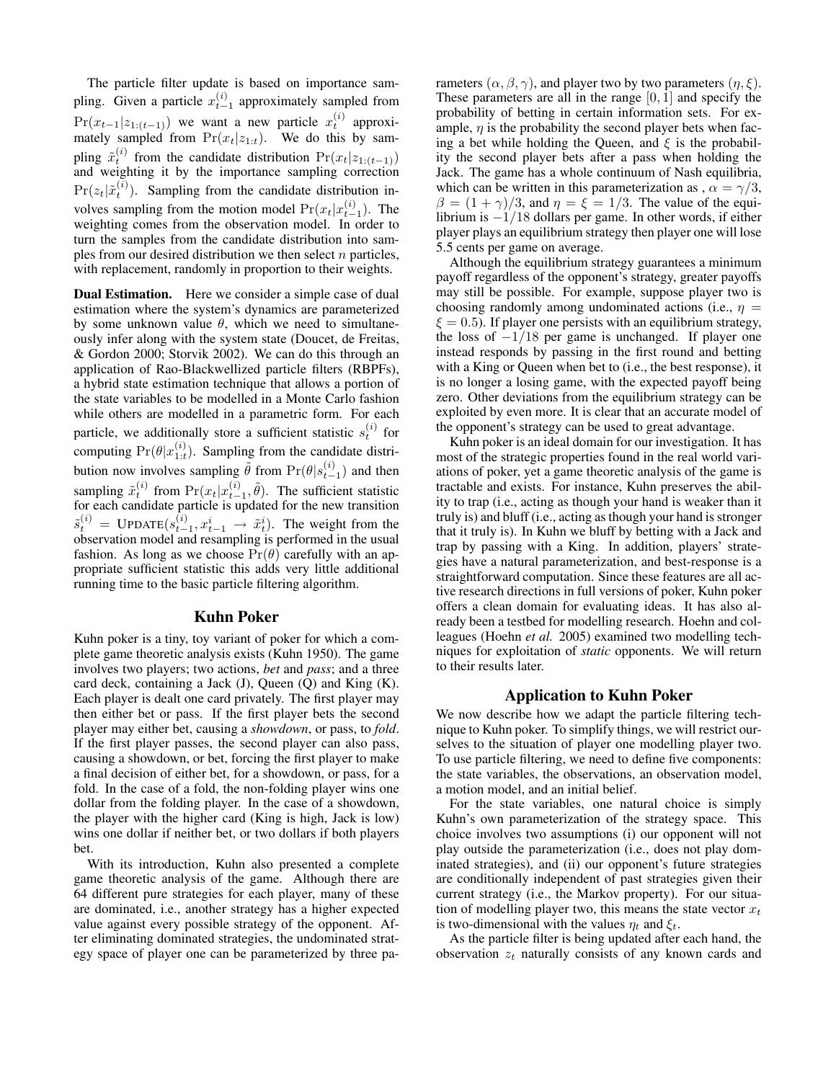The particle filter update is based on importance sampling. Given a particle  $x_{t-1}^{(i)}$  approximately sampled from  $Pr(x_{t-1}|z_{1:(t-1)})$  we want a new particle  $x_t^{(i)}$  approximately sampled from  $Pr(x_t|z_{1:t})$ . We do this by sampling  $\tilde{x}_t^{(i)}$  from the candidate distribution  $Pr(x_t|z_{1:(t-1)})$ and weighting it by the importance sampling correction  $Pr(z_t|\tilde{x}_t^{(i)})$ . Sampling from the candidate distribution involves sampling from the motion model  $Pr(x_t|x_{t-1}^{(i)})$ . The weighting comes from the observation model. In order to turn the samples from the candidate distribution into samples from our desired distribution we then select  $n$  particles, with replacement, randomly in proportion to their weights.

Dual Estimation. Here we consider a simple case of dual estimation where the system's dynamics are parameterized by some unknown value  $\theta$ , which we need to simultaneously infer along with the system state (Doucet, de Freitas, & Gordon 2000; Storvik 2002). We can do this through an application of Rao-Blackwellized particle filters (RBPFs), a hybrid state estimation technique that allows a portion of the state variables to be modelled in a Monte Carlo fashion while others are modelled in a parametric form. For each particle, we additionally store a sufficient statistic  $s_t^{(i)}$  for computing  $Pr(\theta | x_{1:t}^{(i)})$ . Sampling from the candidate distribution now involves sampling  $\tilde{\theta}$  from  $Pr(\theta | s_{t-1}^{(i)})$  and then sampling  $\tilde{x}_t^{(i)}$  from  $Pr(x_t|x_{t-1}^{(i)}, \tilde{\theta})$ . The sufficient statistic for each candidate particle is updated for the new transition  $\tilde{s}_{t}^{(i)} = \text{UPDATE}(s_{t-1}^{(i)}, x_{t-1}^i \rightarrow \tilde{x}_{t}^i).$  The weight from the observation model and resampling is performed in the usual fashion. As long as we choose  $Pr(\theta)$  carefully with an appropriate sufficient statistic this adds very little additional running time to the basic particle filtering algorithm.

## Kuhn Poker

Kuhn poker is a tiny, toy variant of poker for which a complete game theoretic analysis exists (Kuhn 1950). The game involves two players; two actions, *bet* and *pass*; and a three card deck, containing a Jack  $(J)$ , Queen  $(Q)$  and King  $(K)$ . Each player is dealt one card privately. The first player may then either bet or pass. If the first player bets the second player may either bet, causing a *showdown*, or pass, to *fold*. If the first player passes, the second player can also pass, causing a showdown, or bet, forcing the first player to make a final decision of either bet, for a showdown, or pass, for a fold. In the case of a fold, the non-folding player wins one dollar from the folding player. In the case of a showdown, the player with the higher card (King is high, Jack is low) wins one dollar if neither bet, or two dollars if both players bet.

With its introduction, Kuhn also presented a complete game theoretic analysis of the game. Although there are 64 different pure strategies for each player, many of these are dominated, i.e., another strategy has a higher expected value against every possible strategy of the opponent. After eliminating dominated strategies, the undominated strategy space of player one can be parameterized by three parameters  $(\alpha, \beta, \gamma)$ , and player two by two parameters  $(\eta, \xi)$ . These parameters are all in the range  $[0, 1]$  and specify the probability of betting in certain information sets. For example,  $\eta$  is the probability the second player bets when facing a bet while holding the Queen, and  $\xi$  is the probability the second player bets after a pass when holding the Jack. The game has a whole continuum of Nash equilibria, which can be written in this parameterization as ,  $\alpha = \gamma/3$ ,  $\beta = (1 + \gamma)/3$ , and  $\eta = \xi = 1/3$ . The value of the equilibrium is −1/18 dollars per game. In other words, if either player plays an equilibrium strategy then player one will lose 5.5 cents per game on average.

Although the equilibrium strategy guarantees a minimum payoff regardless of the opponent's strategy, greater payoffs may still be possible. For example, suppose player two is choosing randomly among undominated actions (i.e.,  $\eta$  =  $\xi = 0.5$ ). If player one persists with an equilibrium strategy, the loss of  $-1/18$  per game is unchanged. If player one instead responds by passing in the first round and betting with a King or Queen when bet to (i.e., the best response), it is no longer a losing game, with the expected payoff being zero. Other deviations from the equilibrium strategy can be exploited by even more. It is clear that an accurate model of the opponent's strategy can be used to great advantage.

Kuhn poker is an ideal domain for our investigation. It has most of the strategic properties found in the real world variations of poker, yet a game theoretic analysis of the game is tractable and exists. For instance, Kuhn preserves the ability to trap (i.e., acting as though your hand is weaker than it truly is) and bluff (i.e., acting as though your hand is stronger that it truly is). In Kuhn we bluff by betting with a Jack and trap by passing with a King. In addition, players' strategies have a natural parameterization, and best-response is a straightforward computation. Since these features are all active research directions in full versions of poker, Kuhn poker offers a clean domain for evaluating ideas. It has also already been a testbed for modelling research. Hoehn and colleagues (Hoehn *et al.* 2005) examined two modelling techniques for exploitation of *static* opponents. We will return to their results later.

## Application to Kuhn Poker

We now describe how we adapt the particle filtering technique to Kuhn poker. To simplify things, we will restrict ourselves to the situation of player one modelling player two. To use particle filtering, we need to define five components: the state variables, the observations, an observation model, a motion model, and an initial belief.

For the state variables, one natural choice is simply Kuhn's own parameterization of the strategy space. This choice involves two assumptions (i) our opponent will not play outside the parameterization (i.e., does not play dominated strategies), and (ii) our opponent's future strategies are conditionally independent of past strategies given their current strategy (i.e., the Markov property). For our situation of modelling player two, this means the state vector  $x_t$ is two-dimensional with the values  $\eta_t$  and  $\xi_t$ .

As the particle filter is being updated after each hand, the observation  $z_t$  naturally consists of any known cards and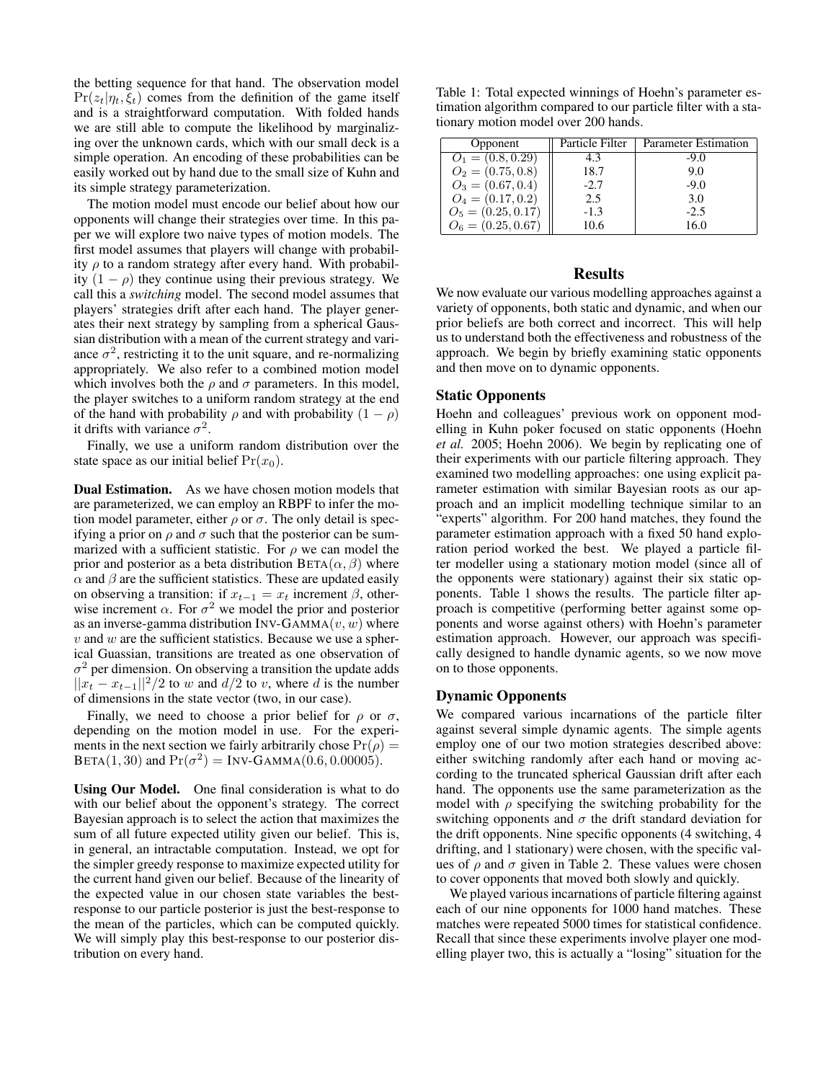the betting sequence for that hand. The observation model  $Pr(z_t|\eta_t, \xi_t)$  comes from the definition of the game itself and is a straightforward computation. With folded hands we are still able to compute the likelihood by marginalizing over the unknown cards, which with our small deck is a simple operation. An encoding of these probabilities can be easily worked out by hand due to the small size of Kuhn and its simple strategy parameterization.

The motion model must encode our belief about how our opponents will change their strategies over time. In this paper we will explore two naive types of motion models. The first model assumes that players will change with probability  $\rho$  to a random strategy after every hand. With probability  $(1 - \rho)$  they continue using their previous strategy. We call this a *switching* model. The second model assumes that players' strategies drift after each hand. The player generates their next strategy by sampling from a spherical Gaussian distribution with a mean of the current strategy and variance  $\sigma^2$ , restricting it to the unit square, and re-normalizing appropriately. We also refer to a combined motion model which involves both the  $\rho$  and  $\sigma$  parameters. In this model, the player switches to a uniform random strategy at the end of the hand with probability  $\rho$  and with probability  $(1 - \rho)$ it drifts with variance  $\sigma^2$ .

Finally, we use a uniform random distribution over the state space as our initial belief  $Pr(x_0)$ .

Dual Estimation. As we have chosen motion models that are parameterized, we can employ an RBPF to infer the motion model parameter, either  $\rho$  or  $\sigma$ . The only detail is specifying a prior on  $\rho$  and  $\sigma$  such that the posterior can be summarized with a sufficient statistic. For  $\rho$  we can model the prior and posterior as a beta distribution  $BETA(\alpha, \beta)$  where  $\alpha$  and  $\beta$  are the sufficient statistics. These are updated easily on observing a transition: if  $x_{t-1} = x_t$  increment  $\beta$ , otherwise increment  $\alpha$ . For  $\sigma^2$  we model the prior and posterior as an inverse-gamma distribution INV-GAMMA $(v, w)$  where  $v$  and  $w$  are the sufficient statistics. Because we use a spherical Guassian, transitions are treated as one observation of  $\sigma^2$  per dimension. On observing a transition the update adds  $||x_t - x_{t-1}||^2/2$  to w and  $d/2$  to v, where d is the number of dimensions in the state vector (two, in our case).

Finally, we need to choose a prior belief for  $\rho$  or  $\sigma$ , depending on the motion model in use. For the experiments in the next section we fairly arbitrarily chose  $Pr(\rho)$  =  $BETA(1, 30)$  and  $Pr(\sigma^2) = Inv-GAMMA(0.6, 0.00005)$ .

Using Our Model. One final consideration is what to do with our belief about the opponent's strategy. The correct Bayesian approach is to select the action that maximizes the sum of all future expected utility given our belief. This is, in general, an intractable computation. Instead, we opt for the simpler greedy response to maximize expected utility for the current hand given our belief. Because of the linearity of the expected value in our chosen state variables the bestresponse to our particle posterior is just the best-response to the mean of the particles, which can be computed quickly. We will simply play this best-response to our posterior distribution on every hand.

Table 1: Total expected winnings of Hoehn's parameter estimation algorithm compared to our particle filter with a stationary motion model over 200 hands.

| Opponent             | Particle Filter | <b>Parameter Estimation</b> |
|----------------------|-----------------|-----------------------------|
| $O_1 = (0.8, 0.29)$  | 4.3             | $-9.0$                      |
| $O_2 = (0.75, 0.8)$  | 18.7            | 9.0                         |
| $O_3 = (0.67, 0.4)$  | $-2.7$          | $-9.0$                      |
| $O_4 = (0.17, 0.2)$  | 2.5             | 3.0                         |
| $O_5 = (0.25, 0.17)$ | $-1.3$          | $-2.5$                      |
| $O_6 = (0.25, 0.67)$ | 10.6            | 16.0                        |

## **Results**

We now evaluate our various modelling approaches against a variety of opponents, both static and dynamic, and when our prior beliefs are both correct and incorrect. This will help us to understand both the effectiveness and robustness of the approach. We begin by briefly examining static opponents and then move on to dynamic opponents.

## Static Opponents

Hoehn and colleagues' previous work on opponent modelling in Kuhn poker focused on static opponents (Hoehn *et al.* 2005; Hoehn 2006). We begin by replicating one of their experiments with our particle filtering approach. They examined two modelling approaches: one using explicit parameter estimation with similar Bayesian roots as our approach and an implicit modelling technique similar to an "experts" algorithm. For 200 hand matches, they found the parameter estimation approach with a fixed 50 hand exploration period worked the best. We played a particle filter modeller using a stationary motion model (since all of the opponents were stationary) against their six static opponents. Table 1 shows the results. The particle filter approach is competitive (performing better against some opponents and worse against others) with Hoehn's parameter estimation approach. However, our approach was specifically designed to handle dynamic agents, so we now move on to those opponents.

#### Dynamic Opponents

We compared various incarnations of the particle filter against several simple dynamic agents. The simple agents employ one of our two motion strategies described above: either switching randomly after each hand or moving according to the truncated spherical Gaussian drift after each hand. The opponents use the same parameterization as the model with  $\rho$  specifying the switching probability for the switching opponents and  $\sigma$  the drift standard deviation for the drift opponents. Nine specific opponents (4 switching, 4 drifting, and 1 stationary) were chosen, with the specific values of  $\rho$  and  $\sigma$  given in Table 2. These values were chosen to cover opponents that moved both slowly and quickly.

We played various incarnations of particle filtering against each of our nine opponents for 1000 hand matches. These matches were repeated 5000 times for statistical confidence. Recall that since these experiments involve player one modelling player two, this is actually a "losing" situation for the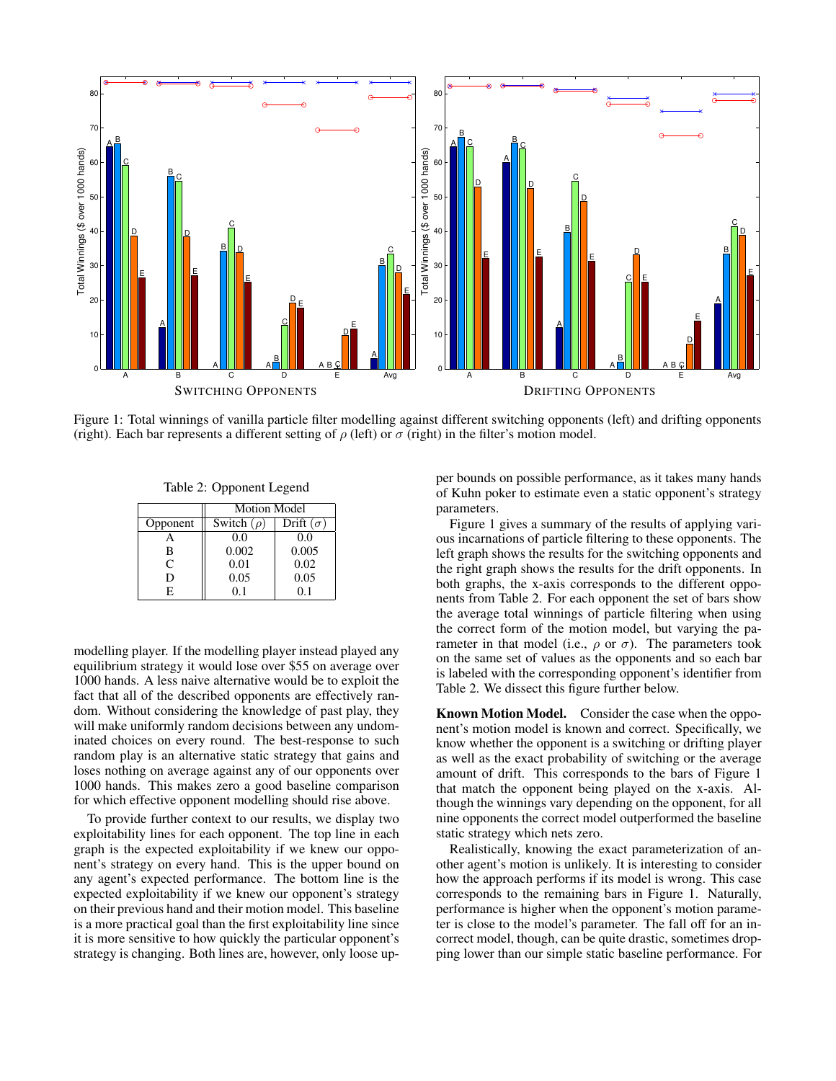

Figure 1: Total winnings of vanilla particle filter modelling against different switching opponents (left) and drifting opponents (right). Each bar represents a different setting of  $\rho$  (left) or  $\sigma$  (right) in the filter's motion model.

Table 2: Opponent Legend

|          | Motion Model    |                  |
|----------|-----------------|------------------|
| Opponent | Switch $(\rho)$ | Drift $(\sigma)$ |
|          | 0.0             | 0.0              |
| в        | 0.002           | 0.005            |
| C        | 0.01            | 0.02             |
| D        | 0.05            | 0.05             |
| F.       | 0.1             | 0.1              |

modelling player. If the modelling player instead played any equilibrium strategy it would lose over \$55 on average over 1000 hands. A less naive alternative would be to exploit the fact that all of the described opponents are effectively random. Without considering the knowledge of past play, they will make uniformly random decisions between any undominated choices on every round. The best-response to such random play is an alternative static strategy that gains and loses nothing on average against any of our opponents over 1000 hands. This makes zero a good baseline comparison for which effective opponent modelling should rise above.

To provide further context to our results, we display two exploitability lines for each opponent. The top line in each graph is the expected exploitability if we knew our opponent's strategy on every hand. This is the upper bound on any agent's expected performance. The bottom line is the expected exploitability if we knew our opponent's strategy on their previous hand and their motion model. This baseline is a more practical goal than the first exploitability line since it is more sensitive to how quickly the particular opponent's strategy is changing. Both lines are, however, only loose upper bounds on possible performance, as it takes many hands of Kuhn poker to estimate even a static opponent's strategy parameters.

Figure 1 gives a summary of the results of applying various incarnations of particle filtering to these opponents. The left graph shows the results for the switching opponents and the right graph shows the results for the drift opponents. In both graphs, the x-axis corresponds to the different opponents from Table 2. For each opponent the set of bars show the average total winnings of particle filtering when using the correct form of the motion model, but varying the parameter in that model (i.e.,  $\rho$  or  $\sigma$ ). The parameters took on the same set of values as the opponents and so each bar is labeled with the corresponding opponent's identifier from Table 2. We dissect this figure further below.

Known Motion Model. Consider the case when the opponent's motion model is known and correct. Specifically, we know whether the opponent is a switching or drifting player as well as the exact probability of switching or the average amount of drift. This corresponds to the bars of Figure 1 that match the opponent being played on the x-axis. Although the winnings vary depending on the opponent, for all nine opponents the correct model outperformed the baseline static strategy which nets zero.

Realistically, knowing the exact parameterization of another agent's motion is unlikely. It is interesting to consider how the approach performs if its model is wrong. This case corresponds to the remaining bars in Figure 1. Naturally, performance is higher when the opponent's motion parameter is close to the model's parameter. The fall off for an incorrect model, though, can be quite drastic, sometimes dropping lower than our simple static baseline performance. For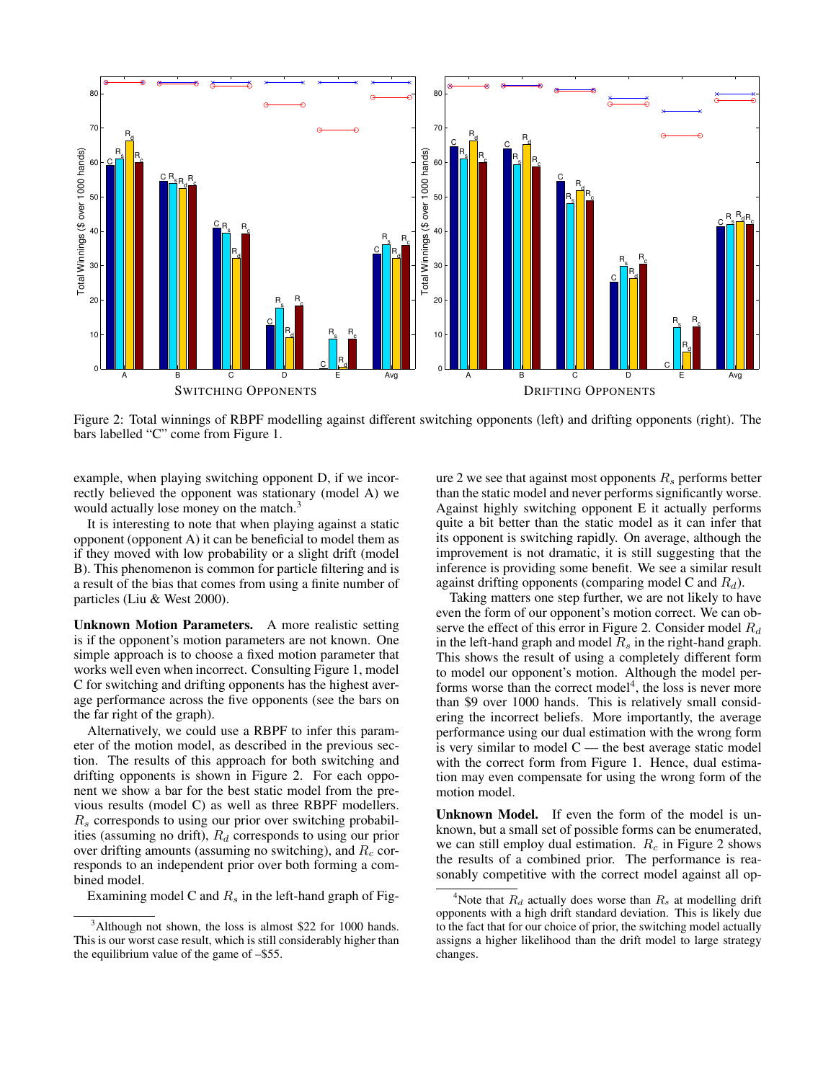

Figure 2: Total winnings of RBPF modelling against different switching opponents (left) and drifting opponents (right). The bars labelled "C" come from Figure 1.

example, when playing switching opponent D, if we incorrectly believed the opponent was stationary (model A) we would actually lose money on the match.<sup>3</sup>

It is interesting to note that when playing against a static opponent (opponent A) it can be beneficial to model them as if they moved with low probability or a slight drift (model B). This phenomenon is common for particle filtering and is a result of the bias that comes from using a finite number of particles (Liu & West 2000).

Unknown Motion Parameters. A more realistic setting is if the opponent's motion parameters are not known. One simple approach is to choose a fixed motion parameter that works well even when incorrect. Consulting Figure 1, model C for switching and drifting opponents has the highest average performance across the five opponents (see the bars on the far right of the graph).

Alternatively, we could use a RBPF to infer this parameter of the motion model, as described in the previous section. The results of this approach for both switching and drifting opponents is shown in Figure 2. For each opponent we show a bar for the best static model from the previous results (model C) as well as three RBPF modellers.  $R<sub>s</sub>$  corresponds to using our prior over switching probabilities (assuming no drift),  $R_d$  corresponds to using our prior over drifting amounts (assuming no switching), and  $R_c$  corresponds to an independent prior over both forming a combined model.

Examining model C and  $R_s$  in the left-hand graph of Fig-

ure 2 we see that against most opponents  $R_s$  performs better than the static model and never performs significantly worse. Against highly switching opponent E it actually performs quite a bit better than the static model as it can infer that its opponent is switching rapidly. On average, although the improvement is not dramatic, it is still suggesting that the inference is providing some benefit. We see a similar result against drifting opponents (comparing model C and  $R_d$ ).

Taking matters one step further, we are not likely to have even the form of our opponent's motion correct. We can observe the effect of this error in Figure 2. Consider model  $R_d$ in the left-hand graph and model  $R_s$  in the right-hand graph. This shows the result of using a completely different form to model our opponent's motion. Although the model performs worse than the correct model<sup>4</sup>, the loss is never more than \$9 over 1000 hands. This is relatively small considering the incorrect beliefs. More importantly, the average performance using our dual estimation with the wrong form is very similar to model  $C$  — the best average static model with the correct form from Figure 1. Hence, dual estimation may even compensate for using the wrong form of the motion model.

Unknown Model. If even the form of the model is unknown, but a small set of possible forms can be enumerated, we can still employ dual estimation.  $R_c$  in Figure 2 shows the results of a combined prior. The performance is reasonably competitive with the correct model against all op-

 $3$ Although not shown, the loss is almost \$22 for 1000 hands. This is our worst case result, which is still considerably higher than the equilibrium value of the game of –\$55.

<sup>&</sup>lt;sup>4</sup>Note that  $R_d$  actually does worse than  $R_s$  at modelling drift opponents with a high drift standard deviation. This is likely due to the fact that for our choice of prior, the switching model actually assigns a higher likelihood than the drift model to large strategy changes.